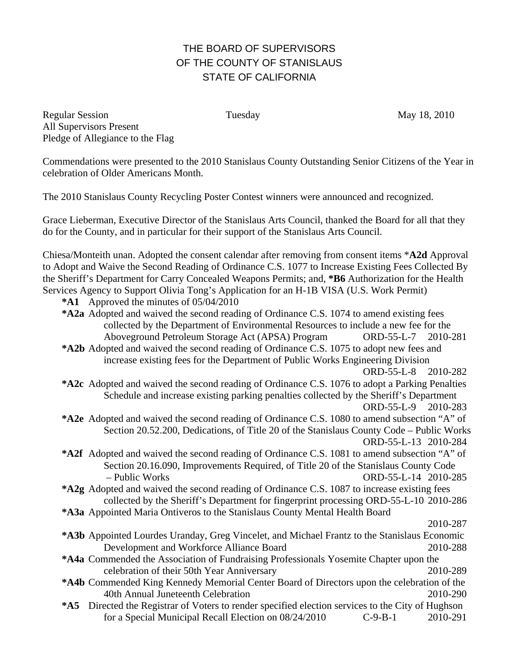## THE BOARD OF SUPERVISORS OF THE COUNTY OF STANISLAUS STATE OF CALIFORNIA

Regular Session Tuesday Tuesday May 18, 2010 All Supervisors Present Pledge of Allegiance to the Flag

Commendations were presented to the 2010 Stanislaus County Outstanding Senior Citizens of the Year in celebration of Older Americans Month.

The 2010 Stanislaus County Recycling Poster Contest winners were announced and recognized.

Grace Lieberman, Executive Director of the Stanislaus Arts Council, thanked the Board for all that they do for the County, and in particular for their support of the Stanislaus Arts Council.

Chiesa/Monteith unan. Adopted the consent calendar after removing from consent items \***A2d** Approval to Adopt and Waive the Second Reading of Ordinance C.S. 1077 to Increase Existing Fees Collected By the Sheriff's Department for Carry Concealed Weapons Permits; and, **\*B6** Authorization for the Health Services Agency to Support Olivia Tong's Application for an H-1B VISA (U.S. Work Permit)

- **\*A1** Approved the minutes of 05/04/2010
- **\*A2a** Adopted and waived the second reading of Ordinance C.S. 1074 to amend existing fees collected by the Department of Environmental Resources to include a new fee for the Aboveground Petroleum Storage Act (APSA) Program ORD-55-L-7 2010-281
- **\*A2b** Adopted and waived the second reading of Ordinance C.S. 1075 to adopt new fees and increase existing fees for the Department of Public Works Engineering Division

ORD-55-L-8 2010-282

- **\*A2c** Adopted and waived the second reading of Ordinance C.S. 1076 to adopt a Parking Penalties Schedule and increase existing parking penalties collected by the Sheriff's Department ORD-55-L-9 2010-283
- **\*A2e** Adopted and waived the second reading of Ordinance C.S. 1080 to amend subsection "A" of Section 20.52.200, Dedications, of Title 20 of the Stanislaus County Code – Public Works ORD-55-L-13 2010-284
- **\*A2f** Adopted and waived the second reading of Ordinance C.S. 1081 to amend subsection "A" of Section 20.16.090, Improvements Required, of Title 20 of the Stanislaus County Code – Public Works ORD-55-L-14 2010-285
- **\*A2g** Adopted and waived the second reading of Ordinance C.S. 1087 to increase existing fees collected by the Sheriff's Department for fingerprint processing ORD-55-L-10 2010-286
- **\*A3a** Appointed Maria Ontiveros to the Stanislaus County Mental Health Board

2010-287

- **\*A3b** Appointed Lourdes Uranday, Greg Vincelet, and Michael Frantz to the Stanislaus Economic Development and Workforce Alliance Board 2010-288
- **\*A4a** Commended the Association of Fundraising Professionals Yosemite Chapter upon the celebration of their 50th Year Anniversary 2010-289
- **\*A4b** Commended King Kennedy Memorial Center Board of Directors upon the celebration of the 40th Annual Juneteenth Celebration 2010-290
- **\*A5** Directed the Registrar of Voters to render specified election services to the City of Hughson for a Special Municipal Recall Election on 08/24/2010 C-9-B-1 2010-291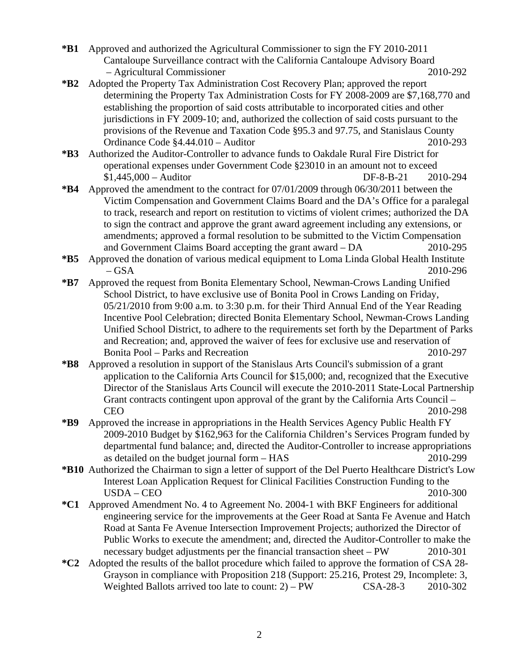- **\*B1** Approved and authorized the Agricultural Commissioner to sign the FY 2010-2011 Cantaloupe Surveillance contract with the California Cantaloupe Advisory Board – Agricultural Commissioner 2010-292
- **\*B2** Adopted the Property Tax Administration Cost Recovery Plan; approved the report determining the Property Tax Administration Costs for FY 2008-2009 are \$7,168,770 and establishing the proportion of said costs attributable to incorporated cities and other jurisdictions in FY 2009-10; and, authorized the collection of said costs pursuant to the provisions of the Revenue and Taxation Code §95.3 and 97.75, and Stanislaus County Ordinance Code §4.44.010 – Auditor 2010-293
- **\*B3** Authorized the Auditor-Controller to advance funds to Oakdale Rural Fire District for operational expenses under Government Code §23010 in an amount not to exceed \$1,445,000 – Auditor DF-8-B-21 2010-294
- **\*B4** Approved the amendment to the contract for 07/01/2009 through 06/30/2011 between the Victim Compensation and Government Claims Board and the DA's Office for a paralegal to track, research and report on restitution to victims of violent crimes; authorized the DA to sign the contract and approve the grant award agreement including any extensions, or amendments; approved a formal resolution to be submitted to the Victim Compensation and Government Claims Board accepting the grant award – DA 2010-295
- **\*B5** Approved the donation of various medical equipment to Loma Linda Global Health Institute – GSA 2010-296
- **\*B7** Approved the request from Bonita Elementary School, Newman-Crows Landing Unified School District, to have exclusive use of Bonita Pool in Crows Landing on Friday, 05/21/2010 from 9:00 a.m. to 3:30 p.m. for their Third Annual End of the Year Reading Incentive Pool Celebration; directed Bonita Elementary School, Newman-Crows Landing Unified School District, to adhere to the requirements set forth by the Department of Parks and Recreation; and, approved the waiver of fees for exclusive use and reservation of Bonita Pool – Parks and Recreation 2010-297
- **\*B8** Approved a resolution in support of the Stanislaus Arts Council's submission of a grant application to the California Arts Council for \$15,000; and, recognized that the Executive Director of the Stanislaus Arts Council will execute the 2010-2011 State-Local Partnership Grant contracts contingent upon approval of the grant by the California Arts Council – CEO 2010-298
- **\*B9** Approved the increase in appropriations in the Health Services Agency Public Health FY 2009-2010 Budget by \$162,963 for the California Children's Services Program funded by departmental fund balance; and, directed the Auditor-Controller to increase appropriations as detailed on the budget journal form – HAS 2010-299
- **\*B10** Authorized the Chairman to sign a letter of support of the Del Puerto Healthcare District's Low Interest Loan Application Request for Clinical Facilities Construction Funding to the USDA – CEO 2010-300
- **\*C1** Approved Amendment No. 4 to Agreement No. 2004-1 with BKF Engineers for additional engineering service for the improvements at the Geer Road at Santa Fe Avenue and Hatch Road at Santa Fe Avenue Intersection Improvement Projects; authorized the Director of Public Works to execute the amendment; and, directed the Auditor-Controller to make the necessary budget adjustments per the financial transaction sheet – PW 2010-301
- **\*C2** Adopted the results of the ballot procedure which failed to approve the formation of CSA 28- Grayson in compliance with Proposition 218 (Support: 25.216, Protest 29, Incomplete: 3, Weighted Ballots arrived too late to count: 2) – PW CSA-28-3 2010-302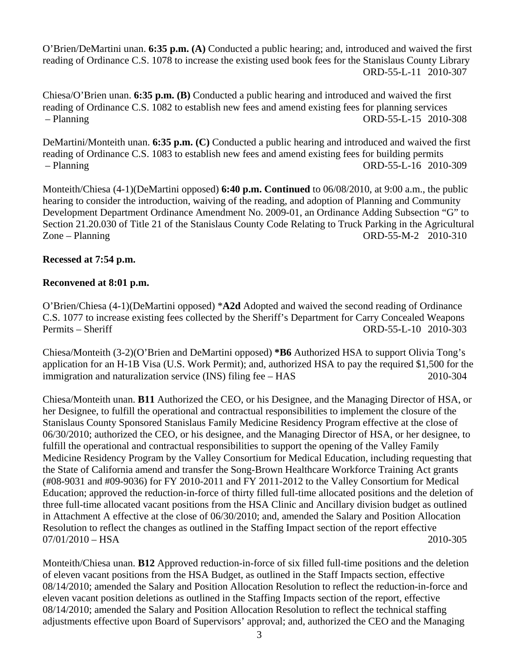O'Brien/DeMartini unan. **6:35 p.m. (A)** Conducted a public hearing; and, introduced and waived the first reading of Ordinance C.S. 1078 to increase the existing used book fees for the Stanislaus County Library ORD-55-L-11 2010-307

Chiesa/O'Brien unan. **6:35 p.m. (B)** Conducted a public hearing and introduced and waived the first reading of Ordinance C.S. 1082 to establish new fees and amend existing fees for planning services – Planning ORD-55-L-15 2010-308

DeMartini/Monteith unan. **6:35 p.m. (C)** Conducted a public hearing and introduced and waived the first reading of Ordinance C.S. 1083 to establish new fees and amend existing fees for building permits – Planning ORD-55-L-16 2010-309

Monteith/Chiesa (4-1)(DeMartini opposed) **6:40 p.m. Continued** to 06/08/2010, at 9:00 a.m., the public hearing to consider the introduction, waiving of the reading, and adoption of Planning and Community Development Department Ordinance Amendment No. 2009-01, an Ordinance Adding Subsection "G" to Section 21.20.030 of Title 21 of the Stanislaus County Code Relating to Truck Parking in the Agricultural Zone – Planning ORD-55-M-2 2010-310

## **Recessed at 7:54 p.m.**

## **Reconvened at 8:01 p.m.**

O'Brien/Chiesa (4-1)(DeMartini opposed) \***A2d** Adopted and waived the second reading of Ordinance C.S. 1077 to increase existing fees collected by the Sheriff's Department for Carry Concealed Weapons Permits – Sheriff ORD-55-L-10 2010-303

Chiesa/Monteith (3-2)(O'Brien and DeMartini opposed) **\*B6** Authorized HSA to support Olivia Tong's application for an H-1B Visa (U.S. Work Permit); and, authorized HSA to pay the required \$1,500 for the immigration and naturalization service (INS) filing fee – HAS 2010-304

Chiesa/Monteith unan. **B11** Authorized the CEO, or his Designee, and the Managing Director of HSA, or her Designee, to fulfill the operational and contractual responsibilities to implement the closure of the Stanislaus County Sponsored Stanislaus Family Medicine Residency Program effective at the close of 06/30/2010; authorized the CEO, or his designee, and the Managing Director of HSA, or her designee, to fulfill the operational and contractual responsibilities to support the opening of the Valley Family Medicine Residency Program by the Valley Consortium for Medical Education, including requesting that the State of California amend and transfer the Song-Brown Healthcare Workforce Training Act grants (#08-9031 and #09-9036) for FY 2010-2011 and FY 2011-2012 to the Valley Consortium for Medical Education; approved the reduction-in-force of thirty filled full-time allocated positions and the deletion of three full-time allocated vacant positions from the HSA Clinic and Ancillary division budget as outlined in Attachment A effective at the close of 06/30/2010; and, amended the Salary and Position Allocation Resolution to reflect the changes as outlined in the Staffing Impact section of the report effective 07/01/2010 – HSA 2010-305

Monteith/Chiesa unan. **B12** Approved reduction-in-force of six filled full-time positions and the deletion of eleven vacant positions from the HSA Budget, as outlined in the Staff Impacts section, effective 08/14/2010; amended the Salary and Position Allocation Resolution to reflect the reduction-in-force and eleven vacant position deletions as outlined in the Staffing Impacts section of the report, effective 08/14/2010; amended the Salary and Position Allocation Resolution to reflect the technical staffing adjustments effective upon Board of Supervisors' approval; and, authorized the CEO and the Managing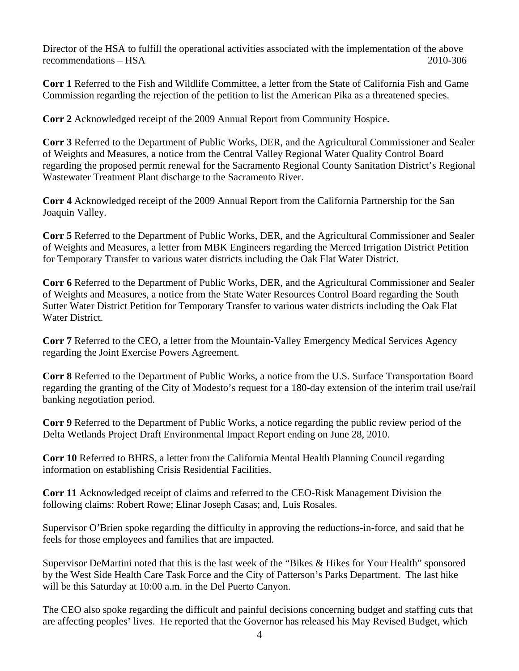Director of the HSA to fulfill the operational activities associated with the implementation of the above recommendations – HSA 2010-306

**Corr 1** Referred to the Fish and Wildlife Committee, a letter from the State of California Fish and Game Commission regarding the rejection of the petition to list the American Pika as a threatened species.

**Corr 2** Acknowledged receipt of the 2009 Annual Report from Community Hospice.

**Corr 3** Referred to the Department of Public Works, DER, and the Agricultural Commissioner and Sealer of Weights and Measures, a notice from the Central Valley Regional Water Quality Control Board regarding the proposed permit renewal for the Sacramento Regional County Sanitation District's Regional Wastewater Treatment Plant discharge to the Sacramento River.

**Corr 4** Acknowledged receipt of the 2009 Annual Report from the California Partnership for the San Joaquin Valley.

**Corr 5** Referred to the Department of Public Works, DER, and the Agricultural Commissioner and Sealer of Weights and Measures, a letter from MBK Engineers regarding the Merced Irrigation District Petition for Temporary Transfer to various water districts including the Oak Flat Water District.

**Corr 6** Referred to the Department of Public Works, DER, and the Agricultural Commissioner and Sealer of Weights and Measures, a notice from the State Water Resources Control Board regarding the South Sutter Water District Petition for Temporary Transfer to various water districts including the Oak Flat Water District.

**Corr 7** Referred to the CEO, a letter from the Mountain-Valley Emergency Medical Services Agency regarding the Joint Exercise Powers Agreement.

**Corr 8** Referred to the Department of Public Works, a notice from the U.S. Surface Transportation Board regarding the granting of the City of Modesto's request for a 180-day extension of the interim trail use/rail banking negotiation period.

**Corr 9** Referred to the Department of Public Works, a notice regarding the public review period of the Delta Wetlands Project Draft Environmental Impact Report ending on June 28, 2010.

**Corr 10** Referred to BHRS, a letter from the California Mental Health Planning Council regarding information on establishing Crisis Residential Facilities.

**Corr 11** Acknowledged receipt of claims and referred to the CEO-Risk Management Division the following claims: Robert Rowe; Elinar Joseph Casas; and, Luis Rosales.

Supervisor O'Brien spoke regarding the difficulty in approving the reductions-in-force, and said that he feels for those employees and families that are impacted.

Supervisor DeMartini noted that this is the last week of the "Bikes & Hikes for Your Health" sponsored by the West Side Health Care Task Force and the City of Patterson's Parks Department. The last hike will be this Saturday at 10:00 a.m. in the Del Puerto Canyon.

The CEO also spoke regarding the difficult and painful decisions concerning budget and staffing cuts that are affecting peoples' lives. He reported that the Governor has released his May Revised Budget, which